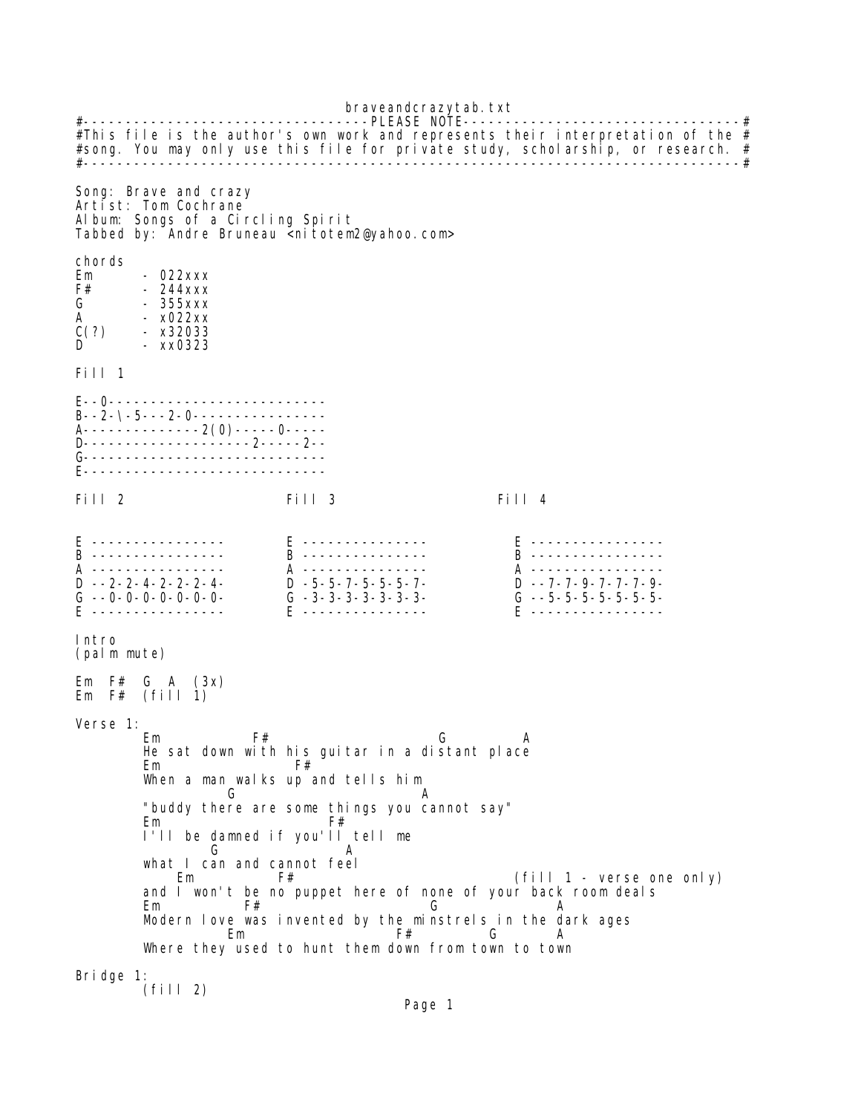braveandcrazytab.txt #----------------------------------PLEASE NOTE---------------------------------# #This file is the author's own work and represents their interpretation of the  $#$ #song. You may only use this file for private study, scholarship, or research. # #------------------------------------------------------------------------------# Song: Brave and crazy Artist: Tom Cochrane Album: Songs of a Circling Spirit Tabbed by: Andre Bruneau <nitotem2@yahoo.com> chords<br>Em Em - 022xxx  $F#$  - 244xxx G - 355xxx A - x022xx - x32033  $-$  xx0323 Fill 1 E--0-------------------------- B--2-\-5---2-0---------------- A--------------2(0)-----0----- ..<br>D----------------------2-----2--G-------------------------------E----------------------------- Fill 2 Fill 3 Fill 4 E ---------------- E --------------- E ---------------- B ---------------- B --------------- B ---------------- A ---------------- A --------------- A ---------------- D --2-2-4-2-2-2-4- D -5-5-7-5-5-5-7- D --7-7-9-7-7-7-9- G --0-0-0-0-0-0-0- G -3-3-3-3-3-3-3- G --5-5-5-5-5-5-5- E ---------------- E --------------- E ---------------- Intro (palm mute) Em  $F#$  G A  $(3x)$ Em F# (fill 1) Verse 1: Em F# G A He sat down with his guitar in a distant place Em F# When a man walks up and tells him G A "buddy there are some things you cannot say" Em F# I'll be damned if you'll tell me G A what I can and cannot feel Em F# F# (fill 1 - verse one only) and I won't be no puppet here of none of your back room deals Em F# G A Modern love was invented by the minstrels in the dark ages<br>Em G A Em F# G A Where they used to hunt them down from town to town Bridge 1: (fill 2)

Page 1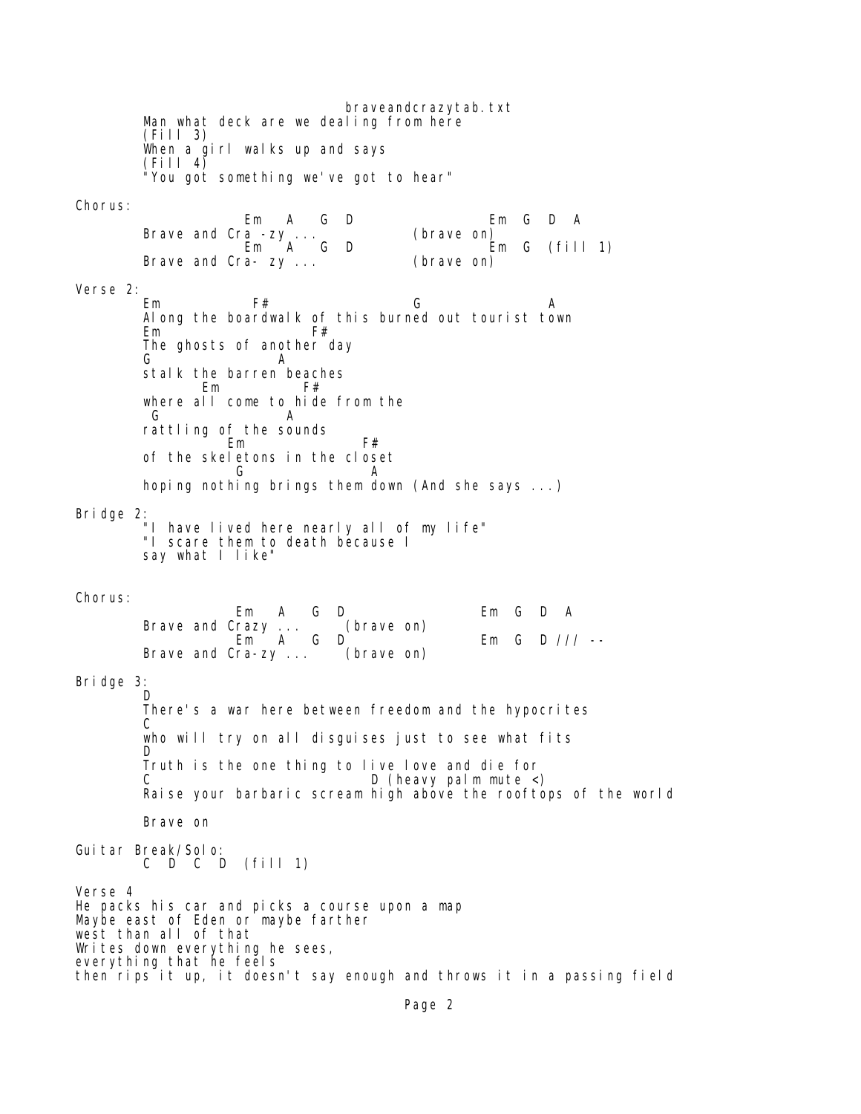braveandcrazytab.txt Man what deck are we dealing from here (Fill 3) When a girl walks up and says  $(Fi11 4)$  "You got something we've got to hear" Chorus: Em A G D Em G D A Brave and Cra -zy ...<br>Em A G D  $Em G$  (fill 1) Brave and Cra- zy ... (brave on) Verse 2: Em F# G A Along the boardwalk of this burned out tourist town Em F# The ghosts of another day G A stalk the barren beaches Em F# where all come to hide from the G A rattling of the sounds Em F# of the skeletons in the closet G A hoping nothing brings them down (And she says ...) Bridge 2: "I have lived here nearly all of my life" "I scare them to death because I "I scare them to death because I<br>say what I like" Chorus: Em A G D Em G D A Brave and Crazy ... (brave on) Em  $A$  G D  $C$  Em G D /// -- Brave and Cra-zy ... (brave on) Bridge 3: D There's a war here between freedom and the hypocrites **C** who will try on all disquises just to see what fits **D**  Truth is the one thing to live love and die for D (heavy palm mute <) Raise your barbaric scream high above the rooftops of the world Brave on Guitar Break/Solo: C D C D (fill 1) Verse 4 He packs his car and picks a course upon a map Maybe east of Eden or maybe farther west than all of that Writes down everything he sees, everything that he feels then rips it up, it doesn't say enough and throws it in a passing field